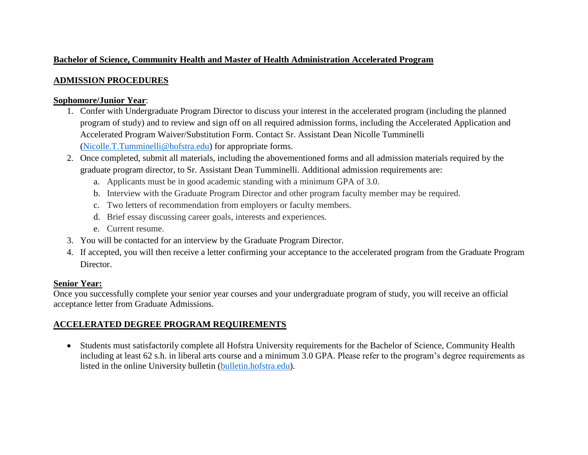### **Bachelor of Science, Community Health and Master of Health Administration Accelerated Program**

### **ADMISSION PROCEDURES**

#### **Sophomore/Junior Year**:

- 1. Confer with Undergraduate Program Director to discuss your interest in the accelerated program (including the planned program of study) and to review and sign off on all required admission forms, including the Accelerated Application and Accelerated Program Waiver/Substitution Form. Contact Sr. Assistant Dean Nicolle Tumminelli [\(Nicolle.T.Tumminelli@hofstra.edu\)](mailto:Nicolle.T.Tumminelli@hofstra.edu) for appropriate forms.
- 2. Once completed, submit all materials, including the abovementioned forms and all admission materials required by the graduate program director, to Sr. Assistant Dean Tumminelli. Additional admission requirements are:
	- a. Applicants must be in good academic standing with a minimum GPA of 3.0.
	- b. Interview with the Graduate Program Director and other program faculty member may be required.
	- c. Two letters of recommendation from employers or faculty members.
	- d. Brief essay discussing career goals, interests and experiences.
	- e. Current resume.
- 3. You will be contacted for an interview by the Graduate Program Director.
- 4. If accepted, you will then receive a letter confirming your acceptance to the accelerated program from the Graduate Program Director.

# **Senior Year:**

Once you successfully complete your senior year courses and your undergraduate program of study, you will receive an official acceptance letter from Graduate Admissions.

# **ACCELERATED DEGREE PROGRAM REQUIREMENTS**

 Students must satisfactorily complete all Hofstra University requirements for the Bachelor of Science, Community Health including at least 62 s.h. in liberal arts course and a minimum 3.0 GPA. Please refer to the program's degree requirements as listed in the online University bulletin [\(bulletin.hofstra.edu\)](http://bulletin.hofstra.edu/).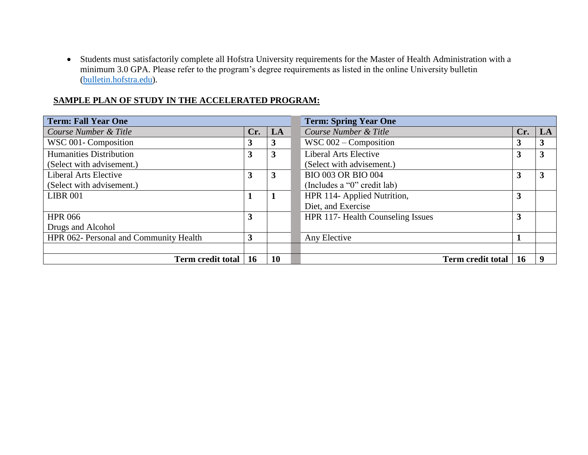Students must satisfactorily complete all Hofstra University requirements for the Master of Health Administration with a minimum 3.0 GPA. Please refer to the program's degree requirements as listed in the online University bulletin [\(bulletin.hofstra.edu\)](http://bulletin.hofstra.edu/).

| <b>Term: Fall Year One</b>             |              |           | <b>Term: Spring Year One</b>      |     |    |  |
|----------------------------------------|--------------|-----------|-----------------------------------|-----|----|--|
| Course Number & Title                  | Cr.          | LA        | Course Number & Title             | Cr. | LA |  |
| WSC 001- Composition                   | 3            | 3         | WSC $002$ – Composition           |     | 3  |  |
| <b>Humanities Distribution</b>         | $\mathbf{3}$ | 3         | <b>Liberal Arts Elective</b>      | 3   | 3  |  |
| (Select with advisement.)              |              |           | (Select with advisement.)         |     |    |  |
| <b>Liberal Arts Elective</b>           | 3            | 3         | <b>BIO 003 OR BIO 004</b>         | 3   | 3  |  |
| (Select with advisement.)              |              |           | (Includes a "0" credit lab)       |     |    |  |
| <b>LIBR 001</b>                        |              | 1         | HPR 114- Applied Nutrition,       | 3   |    |  |
|                                        |              |           | Diet, and Exercise                |     |    |  |
| <b>HPR 066</b>                         | 3            |           | HPR 117- Health Counseling Issues | 3   |    |  |
| Drugs and Alcohol                      |              |           |                                   |     |    |  |
| HPR 062- Personal and Community Health | 3            |           | Any Elective                      |     |    |  |
|                                        |              |           |                                   |     |    |  |
| Term credit total                      | <b>16</b>    | <b>10</b> | <b>Term credit total</b>          | 16  | -9 |  |

#### **SAMPLE PLAN OF STUDY IN THE ACCELERATED PROGRAM:**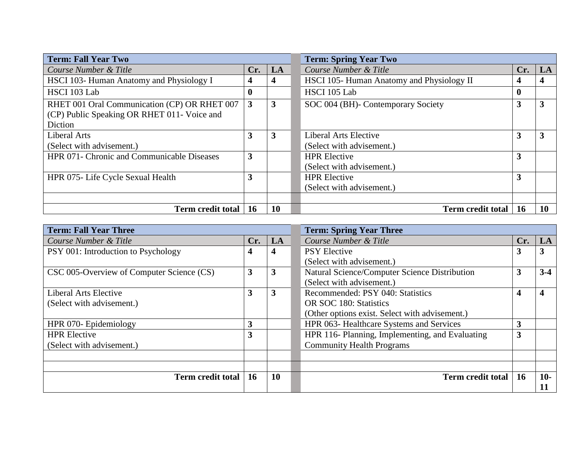| <b>Term: Fall Year Two</b>                   |                |    | <b>Term: Spring Year Two</b>              |     |    |  |
|----------------------------------------------|----------------|----|-------------------------------------------|-----|----|--|
| Course Number & Title                        | Cr.            | LA | Course Number & Title                     | Cr. | LA |  |
| HSCI 103- Human Anatomy and Physiology I     | 4              | 4  | HSCI 105- Human Anatomy and Physiology II |     | 4  |  |
| HSCI 103 Lab                                 | $\bf{0}$       |    | HSCI 105 Lab                              | o   |    |  |
| RHET 001 Oral Communication (CP) OR RHET 007 | $\overline{3}$ | 3  | SOC 004 (BH)- Contemporary Society        |     | 3  |  |
| (CP) Public Speaking OR RHET 011- Voice and  |                |    |                                           |     |    |  |
| Diction                                      |                |    |                                           |     |    |  |
| Liberal Arts                                 | 3              | 3  | <b>Liberal Arts Elective</b>              | 3   | 3  |  |
| (Select with advisement.)                    |                |    | (Select with advisement.)                 |     |    |  |
| HPR 071- Chronic and Communicable Diseases   | 3              |    | <b>HPR</b> Elective                       | 3   |    |  |
|                                              |                |    | (Select with advisement.)                 |     |    |  |
| HPR 075- Life Cycle Sexual Health            | 3              |    | <b>HPR</b> Elective                       | 3   |    |  |
|                                              |                |    | (Select with advisement.)                 |     |    |  |
|                                              |                |    |                                           |     |    |  |
| <b>Term credit total</b>                     | <b>16</b>      | 10 | <b>Term credit total</b>                  | 16  | 10 |  |

| <b>Term: Fall Year Three</b>              |           |           | <b>Term: Spring Year Three</b>                  |           |       |  |
|-------------------------------------------|-----------|-----------|-------------------------------------------------|-----------|-------|--|
| Course Number & Title                     | Cr.       | LA        | Course Number & Title                           | Cr.       | LA    |  |
| PSY 001: Introduction to Psychology       | 4         | 4         | <b>PSY Elective</b>                             | Ĵ         | 3     |  |
|                                           |           |           | (Select with advisement.)                       |           |       |  |
| CSC 005-Overview of Computer Science (CS) | 3         | 3         | Natural Science/Computer Science Distribution   |           | $3-4$ |  |
|                                           |           |           | (Select with advisement.)                       |           |       |  |
| <b>Liberal Arts Elective</b>              | 3         | 3         | Recommended: PSY 040: Statistics                |           | 4     |  |
| (Select with advisement.)                 |           |           | OR SOC 180: Statistics                          |           |       |  |
|                                           |           |           | (Other options exist. Select with advisement.)  |           |       |  |
| HPR 070- Epidemiology                     | 3         |           | HPR 063- Healthcare Systems and Services        |           |       |  |
| <b>HPR</b> Elective                       | 3         |           | HPR 116- Planning, Implementing, and Evaluating |           |       |  |
| (Select with advisement.)                 |           |           | <b>Community Health Programs</b>                |           |       |  |
|                                           |           |           |                                                 |           |       |  |
|                                           |           |           |                                                 |           |       |  |
| <b>Term credit total</b>                  | <b>16</b> | <b>10</b> | <b>Term credit total</b>                        | <b>16</b> | $10-$ |  |
|                                           |           |           |                                                 |           | 11    |  |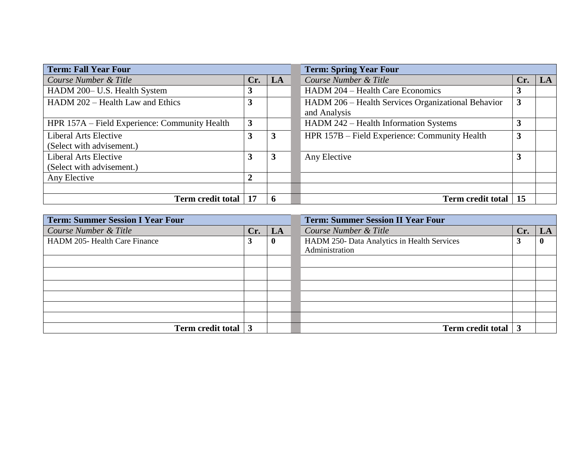| <b>Term: Fall Year Four</b>                   |                |    | <b>Term: Spring Year Four</b>                                      |     |    |  |
|-----------------------------------------------|----------------|----|--------------------------------------------------------------------|-----|----|--|
| Course Number & Title                         | Cr.            | LA | Course Number & Title                                              | Cr. | LA |  |
| HADM 200- U.S. Health System                  |                |    | HADM 204 - Health Care Economics                                   |     |    |  |
| HADM 202 – Health Law and Ethics              | 3              |    | HADM 206 – Health Services Organizational Behavior<br>and Analysis | 3   |    |  |
| HPR 157A – Field Experience: Community Health | $\mathbf{3}$   |    | HADM 242 – Health Information Systems                              |     |    |  |
| <b>Liberal Arts Elective</b>                  | 3              | 3  | HPR 157B – Field Experience: Community Health                      | 3   |    |  |
| (Select with advisement.)                     |                |    |                                                                    |     |    |  |
| <b>Liberal Arts Elective</b>                  | 3              | 3  | Any Elective                                                       | Ć   |    |  |
| (Select with advisement.)                     |                |    |                                                                    |     |    |  |
| Any Elective                                  | $\overline{2}$ |    |                                                                    |     |    |  |
|                                               |                |    |                                                                    |     |    |  |
| Term credit total   17                        |                | 6  | <b>Term credit total</b>                                           | 15  |    |  |

| <b>Term: Summer Session I Year Four</b> |     |          | <b>Term: Summer Session II Year Four</b>    |     |              |  |
|-----------------------------------------|-----|----------|---------------------------------------------|-----|--------------|--|
| Course Number & Title                   | Cr. | LA       | Course Number & Title                       | Cr. | LA           |  |
| HADM 205- Health Care Finance           | 3   | $\bf{0}$ | HADM 250- Data Analytics in Health Services |     | $\mathbf{0}$ |  |
|                                         |     |          | Administration                              |     |              |  |
|                                         |     |          |                                             |     |              |  |
|                                         |     |          |                                             |     |              |  |
|                                         |     |          |                                             |     |              |  |
|                                         |     |          |                                             |     |              |  |
|                                         |     |          |                                             |     |              |  |
|                                         |     |          |                                             |     |              |  |
| Term credit total 3                     |     |          | <b>Term credit total</b>                    |     |              |  |